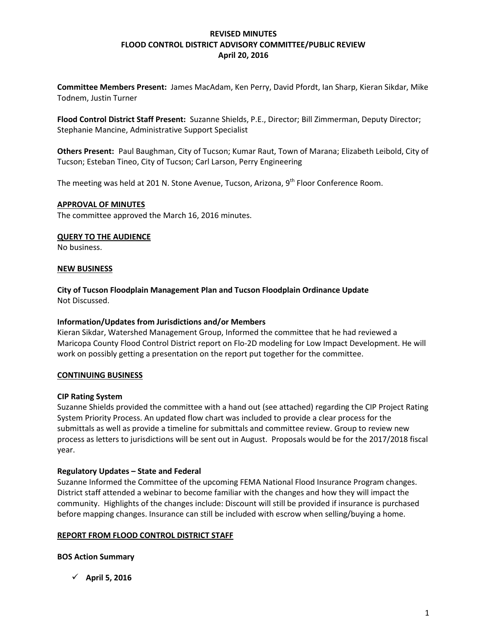# **REVISED MINUTES FLOOD CONTROL DISTRICT ADVISORY COMMITTEE/PUBLIC REVIEW April 20, 2016**

**Committee Members Present:** James MacAdam, Ken Perry, David Pfordt, Ian Sharp, Kieran Sikdar, Mike Todnem, Justin Turner

**Flood Control District Staff Present:** Suzanne Shields, P.E., Director; Bill Zimmerman, Deputy Director; Stephanie Mancine, Administrative Support Specialist

**Others Present:** Paul Baughman, City of Tucson; Kumar Raut, Town of Marana; Elizabeth Leibold, City of Tucson; Esteban Tineo, City of Tucson; Carl Larson, Perry Engineering

The meeting was held at 201 N. Stone Avenue, Tucson, Arizona, 9<sup>th</sup> Floor Conference Room.

## **APPROVAL OF MINUTES**

The committee approved the March 16, 2016 minutes.

#### **QUERY TO THE AUDIENCE**

No business.

#### **NEW BUSINESS**

**City of Tucson Floodplain Management Plan and Tucson Floodplain Ordinance Update**  Not Discussed.

## **Information/Updates from Jurisdictions and/or Members**

Kieran Sikdar, Watershed Management Group, Informed the committee that he had reviewed a Maricopa County Flood Control District report on Flo-2D modeling for Low Impact Development. He will work on possibly getting a presentation on the report put together for the committee.

## **CONTINUING BUSINESS**

#### **CIP Rating System**

Suzanne Shields provided the committee with a hand out (see attached) regarding the CIP Project Rating System Priority Process. An updated flow chart was included to provide a clear process for the submittals as well as provide a timeline for submittals and committee review. Group to review new process as letters to jurisdictions will be sent out in August. Proposals would be for the 2017/2018 fiscal year.

## **Regulatory Updates – State and Federal**

Suzanne Informed the Committee of the upcoming FEMA National Flood Insurance Program changes. District staff attended a webinar to become familiar with the changes and how they will impact the community. Highlights of the changes include: Discount will still be provided if insurance is purchased before mapping changes. Insurance can still be included with escrow when selling/buying a home.

## **REPORT FROM FLOOD CONTROL DISTRICT STAFF**

**BOS Action Summary**

**April 5, 2016**